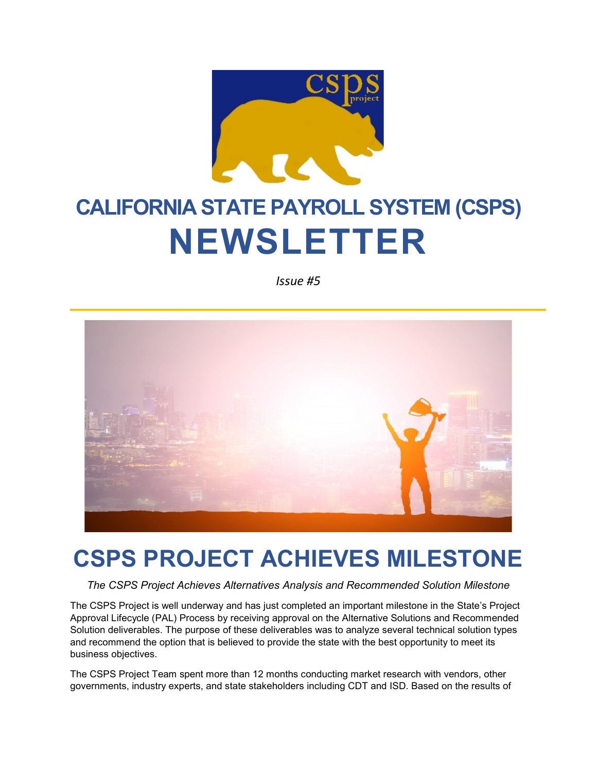

# **CALIFORNIA STATE PAYROLL SYSTEM (CSPS) NEWSLETTER**

*Issue #5*



### **CSPS PROJECT ACHIEVES MILESTONE**

*The CSPS Project Achieves Alternatives Analysis and Recommended Solution Milestone*

The CSPS Project is well underway and has just completed an important milestone in the State's Project Approval Lifecycle (PAL) Process by receiving approval on the Alternative Solutions and Recommended Solution deliverables. The purpose of these deliverables was to analyze several technical solution types and recommend the option that is believed to provide the state with the best opportunity to meet its business objectives.

The CSPS Project Team spent more than 12 months conducting market research with vendors, other governments, industry experts, and state stakeholders including CDT and ISD. Based on the results of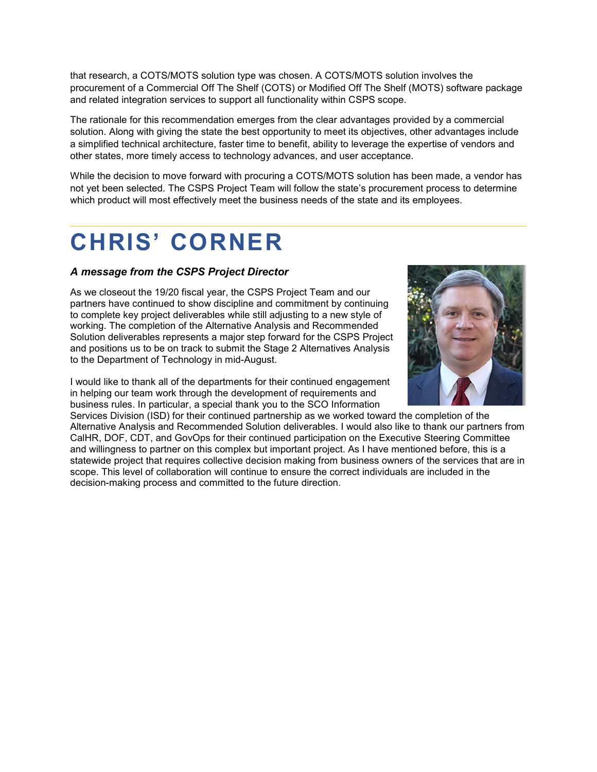that research, a COTS/MOTS solution type was chosen. A COTS/MOTS solution involves the procurement of a Commercial Off The Shelf (COTS) or Modified Off The Shelf (MOTS) software package and related integration services to support all functionality within CSPS scope.

The rationale for this recommendation emerges from the clear advantages provided by a commercial solution. Along with giving the state the best opportunity to meet its objectives, other advantages include a simplified technical architecture, faster time to benefit, ability to leverage the expertise of vendors and other states, more timely access to technology advances, and user acceptance.

While the decision to move forward with procuring a COTS/MOTS solution has been made, a vendor has not yet been selected. The CSPS Project Team will follow the state's procurement process to determine which product will most effectively meet the business needs of the state and its employees.

### **CHRIS' CORNER**

#### *A message from the CSPS Project Director*

As we closeout the 19/20 fiscal year, the CSPS Project Team and our partners have continued to show discipline and commitment by continuing to complete key project deliverables while still adjusting to a new style of working. The completion of the Alternative Analysis and Recommended Solution deliverables represents a major step forward for the CSPS Project and positions us to be on track to submit the Stage 2 Alternatives Analysis to the Department of Technology in mid-August.

I would like to thank all of the departments for their continued engagement in helping our team work through the development of requirements and business rules. In particular, a special thank you to the SCO Information



Services Division (ISD) for their continued partnership as we worked toward the completion of the Alternative Analysis and Recommended Solution deliverables. I would also like to thank our partners from CalHR, DOF, CDT, and GovOps for their continued participation on the Executive Steering Committee and willingness to partner on this complex but important project. As I have mentioned before, this is a statewide project that requires collective decision making from business owners of the services that are in scope. This level of collaboration will continue to ensure the correct individuals are included in the decision-making process and committed to the future direction.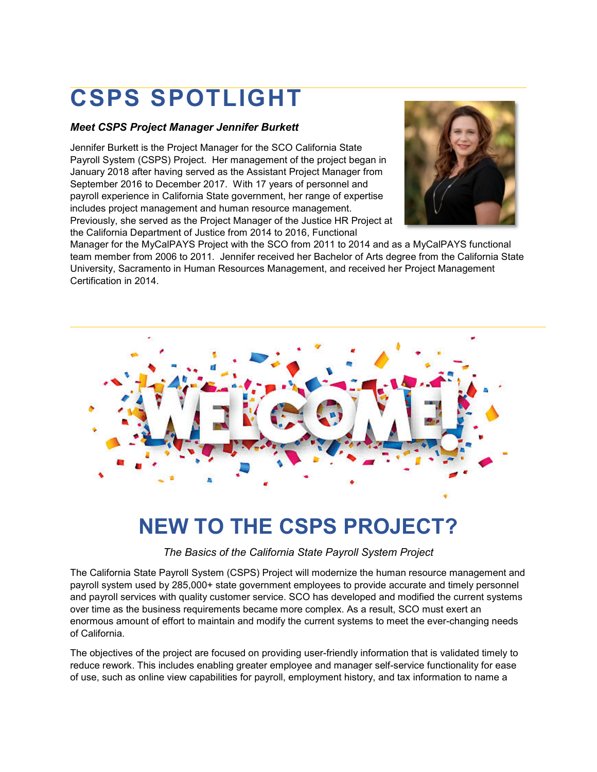## **CSPS SPOTLIGHT**

#### *Meet CSPS Project Manager Jennifer Burkett*

Jennifer Burkett is the Project Manager for the SCO California State Payroll System (CSPS) Project. Her management of the project began in January 2018 after having served as the Assistant Project Manager from September 2016 to December 2017. With 17 years of personnel and payroll experience in California State government, her range of expertise includes project management and human resource management. Previously, she served as the Project Manager of the Justice HR Project at the California Department of Justice from 2014 to 2016, Functional



Manager for the MyCalPAYS Project with the SCO from 2011 to 2014 and as a MyCalPAYS functional team member from 2006 to 2011. Jennifer received her Bachelor of Arts degree from the California State University, Sacramento in Human Resources Management, and received her Project Management Certification in 2014.



### **NEW TO THE CSPS PROJECT?**

*The Basics of the California State Payroll System Project*

The California State Payroll System (CSPS) Project will modernize the human resource management and payroll system used by 285,000+ state government employees to provide accurate and timely personnel and payroll services with quality customer service. SCO has developed and modified the current systems over time as the business requirements became more complex. As a result, SCO must exert an enormous amount of effort to maintain and modify the current systems to meet the ever-changing needs of California.

The objectives of the project are focused on providing user-friendly information that is validated timely to reduce rework. This includes enabling greater employee and manager self-service functionality for ease of use, such as online view capabilities for payroll, employment history, and tax information to name a